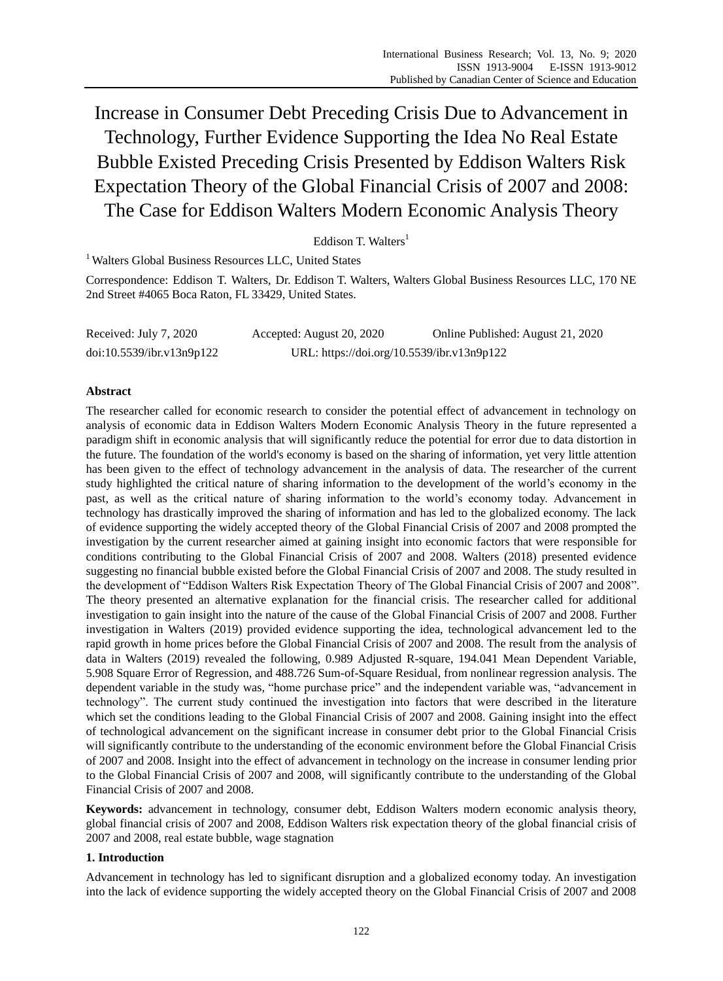Increase in Consumer Debt Preceding Crisis Due to Advancement in Technology, Further Evidence Supporting the Idea No Real Estate Bubble Existed Preceding Crisis Presented by Eddison Walters Risk Expectation Theory of the Global Financial Crisis of 2007 and 2008: The Case for Eddison Walters Modern Economic Analysis Theory

Eddison T. Walters<sup>1</sup>

<sup>1</sup> Walters Global Business Resources LLC, United States

Correspondence: Eddison T. Walters, Dr. Eddison T. Walters, Walters Global Business Resources LLC, 170 NE 2nd Street #4065 Boca Raton, FL 33429, United States.

Received: July 7, 2020 Accepted: August 20, 2020 Online Published: August 21, 2020 doi:10.5539/ibr.v13n9p122 URL: https://doi.org/10.5539/ibr.v13n9p122

# **Abstract**

The researcher called for economic research to consider the potential effect of advancement in technology on analysis of economic data in Eddison Walters Modern Economic Analysis Theory in the future represented a paradigm shift in economic analysis that will significantly reduce the potential for error due to data distortion in the future. The foundation of the world's economy is based on the sharing of information, yet very little attention has been given to the effect of technology advancement in the analysis of data. The researcher of the current study highlighted the critical nature of sharing information to the development of the world's economy in the past, as well as the critical nature of sharing information to the world's economy today. Advancement in technology has drastically improved the sharing of information and has led to the globalized economy. The lack of evidence supporting the widely accepted theory of the Global Financial Crisis of 2007 and 2008 prompted the investigation by the current researcher aimed at gaining insight into economic factors that were responsible for conditions contributing to the Global Financial Crisis of 2007 and 2008. Walters (2018) presented evidence suggesting no financial bubble existed before the Global Financial Crisis of 2007 and 2008. The study resulted in the development of "Eddison Walters Risk Expectation Theory of The Global Financial Crisis of 2007 and 2008". The theory presented an alternative explanation for the financial crisis. The researcher called for additional investigation to gain insight into the nature of the cause of the Global Financial Crisis of 2007 and 2008. Further investigation in Walters (2019) provided evidence supporting the idea, technological advancement led to the rapid growth in home prices before the Global Financial Crisis of 2007 and 2008. The result from the analysis of data in Walters (2019) revealed the following, 0.989 Adjusted R-square, 194.041 Mean Dependent Variable, 5.908 Square Error of Regression, and 488.726 Sum-of-Square Residual, from nonlinear regression analysis. The dependent variable in the study was, "home purchase price" and the independent variable was, "advancement in technology". The current study continued the investigation into factors that were described in the literature which set the conditions leading to the Global Financial Crisis of 2007 and 2008. Gaining insight into the effect of technological advancement on the significant increase in consumer debt prior to the Global Financial Crisis will significantly contribute to the understanding of the economic environment before the Global Financial Crisis of 2007 and 2008. Insight into the effect of advancement in technology on the increase in consumer lending prior to the Global Financial Crisis of 2007 and 2008, will significantly contribute to the understanding of the Global Financial Crisis of 2007 and 2008.

**Keywords:** advancement in technology, consumer debt, Eddison Walters modern economic analysis theory, global financial crisis of 2007 and 2008, Eddison Walters risk expectation theory of the global financial crisis of 2007 and 2008, real estate bubble, wage stagnation

# **1. Introduction**

Advancement in technology has led to significant disruption and a globalized economy today. An investigation into the lack of evidence supporting the widely accepted theory on the Global Financial Crisis of 2007 and 2008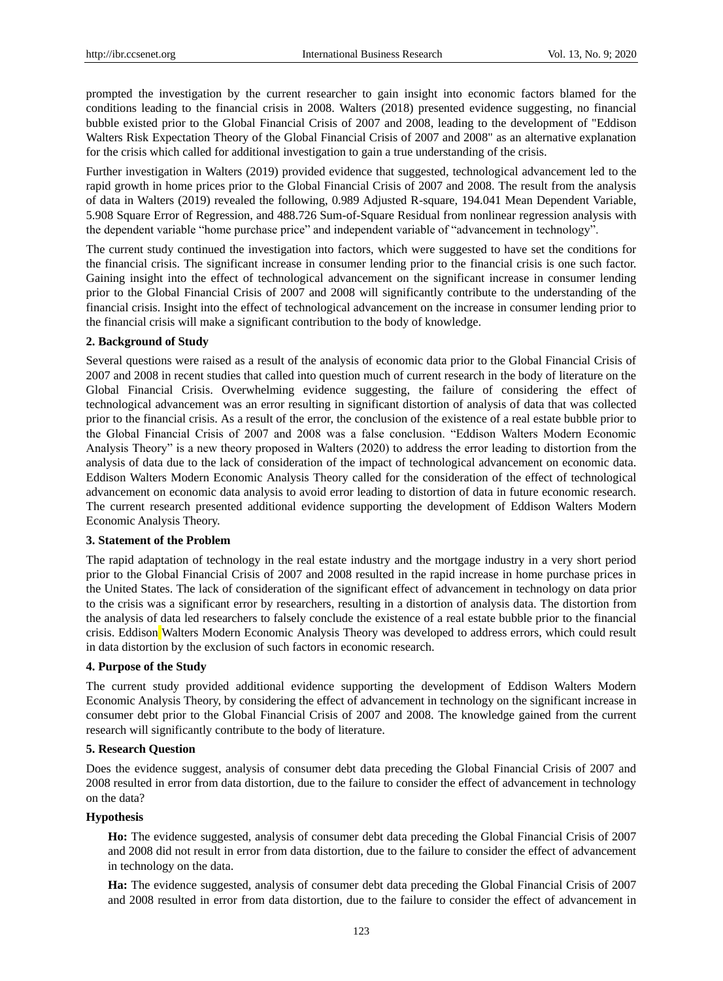prompted the investigation by the current researcher to gain insight into economic factors blamed for the conditions leading to the financial crisis in 2008. Walters (2018) presented evidence suggesting, no financial bubble existed prior to the Global Financial Crisis of 2007 and 2008, leading to the development of "Eddison Walters Risk Expectation Theory of the Global Financial Crisis of 2007 and 2008" as an alternative explanation for the crisis which called for additional investigation to gain a true understanding of the crisis.

Further investigation in Walters (2019) provided evidence that suggested, technological advancement led to the rapid growth in home prices prior to the Global Financial Crisis of 2007 and 2008. The result from the analysis of data in Walters (2019) revealed the following, 0.989 Adjusted R-square, 194.041 Mean Dependent Variable, 5.908 Square Error of Regression, and 488.726 Sum-of-Square Residual from nonlinear regression analysis with the dependent variable "home purchase price" and independent variable of "advancement in technology".

The current study continued the investigation into factors, which were suggested to have set the conditions for the financial crisis. The significant increase in consumer lending prior to the financial crisis is one such factor. Gaining insight into the effect of technological advancement on the significant increase in consumer lending prior to the Global Financial Crisis of 2007 and 2008 will significantly contribute to the understanding of the financial crisis. Insight into the effect of technological advancement on the increase in consumer lending prior to the financial crisis will make a significant contribution to the body of knowledge.

## **2. Background of Study**

Several questions were raised as a result of the analysis of economic data prior to the Global Financial Crisis of 2007 and 2008 in recent studies that called into question much of current research in the body of literature on the Global Financial Crisis. Overwhelming evidence suggesting, the failure of considering the effect of technological advancement was an error resulting in significant distortion of analysis of data that was collected prior to the financial crisis. As a result of the error, the conclusion of the existence of a real estate bubble prior to the Global Financial Crisis of 2007 and 2008 was a false conclusion. "Eddison Walters Modern Economic Analysis Theory" is a new theory proposed in Walters (2020) to address the error leading to distortion from the analysis of data due to the lack of consideration of the impact of technological advancement on economic data. Eddison Walters Modern Economic Analysis Theory called for the consideration of the effect of technological advancement on economic data analysis to avoid error leading to distortion of data in future economic research. The current research presented additional evidence supporting the development of Eddison Walters Modern Economic Analysis Theory.

## **3. Statement of the Problem**

The rapid adaptation of technology in the real estate industry and the mortgage industry in a very short period prior to the Global Financial Crisis of 2007 and 2008 resulted in the rapid increase in home purchase prices in the United States. The lack of consideration of the significant effect of advancement in technology on data prior to the crisis was a significant error by researchers, resulting in a distortion of analysis data. The distortion from the analysis of data led researchers to falsely conclude the existence of a real estate bubble prior to the financial crisis. Eddison Walters Modern Economic Analysis Theory was developed to address errors, which could result in data distortion by the exclusion of such factors in economic research.

## **4. Purpose of the Study**

The current study provided additional evidence supporting the development of Eddison Walters Modern Economic Analysis Theory, by considering the effect of advancement in technology on the significant increase in consumer debt prior to the Global Financial Crisis of 2007 and 2008. The knowledge gained from the current research will significantly contribute to the body of literature.

## **5. Research Question**

Does the evidence suggest, analysis of consumer debt data preceding the Global Financial Crisis of 2007 and 2008 resulted in error from data distortion, due to the failure to consider the effect of advancement in technology on the data?

## **Hypothesis**

**Ho:** The evidence suggested, analysis of consumer debt data preceding the Global Financial Crisis of 2007 and 2008 did not result in error from data distortion, due to the failure to consider the effect of advancement in technology on the data.

**Ha:** The evidence suggested, analysis of consumer debt data preceding the Global Financial Crisis of 2007 and 2008 resulted in error from data distortion, due to the failure to consider the effect of advancement in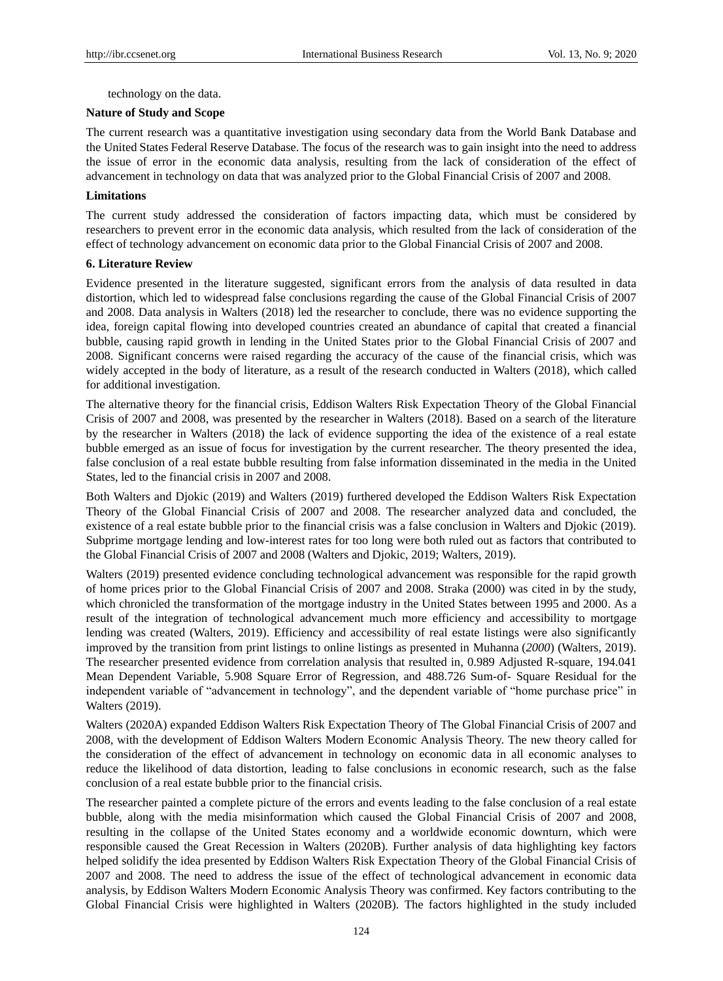technology on the data.

## **Nature of Study and Scope**

The current research was a quantitative investigation using secondary data from the World Bank Database and the United States Federal Reserve Database. The focus of the research was to gain insight into the need to address the issue of error in the economic data analysis, resulting from the lack of consideration of the effect of advancement in technology on data that was analyzed prior to the Global Financial Crisis of 2007 and 2008.

## **Limitations**

The current study addressed the consideration of factors impacting data, which must be considered by researchers to prevent error in the economic data analysis, which resulted from the lack of consideration of the effect of technology advancement on economic data prior to the Global Financial Crisis of 2007 and 2008.

## **6. Literature Review**

Evidence presented in the literature suggested, significant errors from the analysis of data resulted in data distortion, which led to widespread false conclusions regarding the cause of the Global Financial Crisis of 2007 and 2008. Data analysis in Walters (2018) led the researcher to conclude, there was no evidence supporting the idea, foreign capital flowing into developed countries created an abundance of capital that created a financial bubble, causing rapid growth in lending in the United States prior to the Global Financial Crisis of 2007 and 2008. Significant concerns were raised regarding the accuracy of the cause of the financial crisis, which was widely accepted in the body of literature, as a result of the research conducted in Walters (2018), which called for additional investigation.

The alternative theory for the financial crisis, Eddison Walters Risk Expectation Theory of the Global Financial Crisis of 2007 and 2008, was presented by the researcher in Walters (2018). Based on a search of the literature by the researcher in Walters (2018) the lack of evidence supporting the idea of the existence of a real estate bubble emerged as an issue of focus for investigation by the current researcher. The theory presented the idea, false conclusion of a real estate bubble resulting from false information disseminated in the media in the United States, led to the financial crisis in 2007 and 2008.

Both Walters and Djokic (2019) and Walters (2019) furthered developed the Eddison Walters Risk Expectation Theory of the Global Financial Crisis of 2007 and 2008. The researcher analyzed data and concluded, the existence of a real estate bubble prior to the financial crisis was a false conclusion in Walters and Djokic (2019). Subprime mortgage lending and low-interest rates for too long were both ruled out as factors that contributed to the Global Financial Crisis of 2007 and 2008 (Walters and Djokic, 2019; Walters, 2019).

Walters (2019) presented evidence concluding technological advancement was responsible for the rapid growth of home prices prior to the Global Financial Crisis of 2007 and 2008. Straka (2000) was cited in by the study, which chronicled the transformation of the mortgage industry in the United States between 1995 and 2000. As a result of the integration of technological advancement much more efficiency and accessibility to mortgage lending was created (Walters, 2019). Efficiency and accessibility of real estate listings were also significantly improved by the transition from print listings to online listings as presented in Muhanna (*2000*) (Walters, 2019). The researcher presented evidence from correlation analysis that resulted in, 0.989 Adjusted R-square, 194.041 Mean Dependent Variable, 5.908 Square Error of Regression, and 488.726 Sum-of- Square Residual for the independent variable of "advancement in technology", and the dependent variable of "home purchase price" in Walters (2019).

Walters (2020A) expanded Eddison Walters Risk Expectation Theory of The Global Financial Crisis of 2007 and 2008, with the development of Eddison Walters Modern Economic Analysis Theory. The new theory called for the consideration of the effect of advancement in technology on economic data in all economic analyses to reduce the likelihood of data distortion, leading to false conclusions in economic research, such as the false conclusion of a real estate bubble prior to the financial crisis.

The researcher painted a complete picture of the errors and events leading to the false conclusion of a real estate bubble, along with the media misinformation which caused the Global Financial Crisis of 2007 and 2008, resulting in the collapse of the United States economy and a worldwide economic downturn, which were responsible caused the Great Recession in Walters (2020B). Further analysis of data highlighting key factors helped solidify the idea presented by Eddison Walters Risk Expectation Theory of the Global Financial Crisis of 2007 and 2008. The need to address the issue of the effect of technological advancement in economic data analysis, by Eddison Walters Modern Economic Analysis Theory was confirmed. Key factors contributing to the Global Financial Crisis were highlighted in Walters (2020B). The factors highlighted in the study included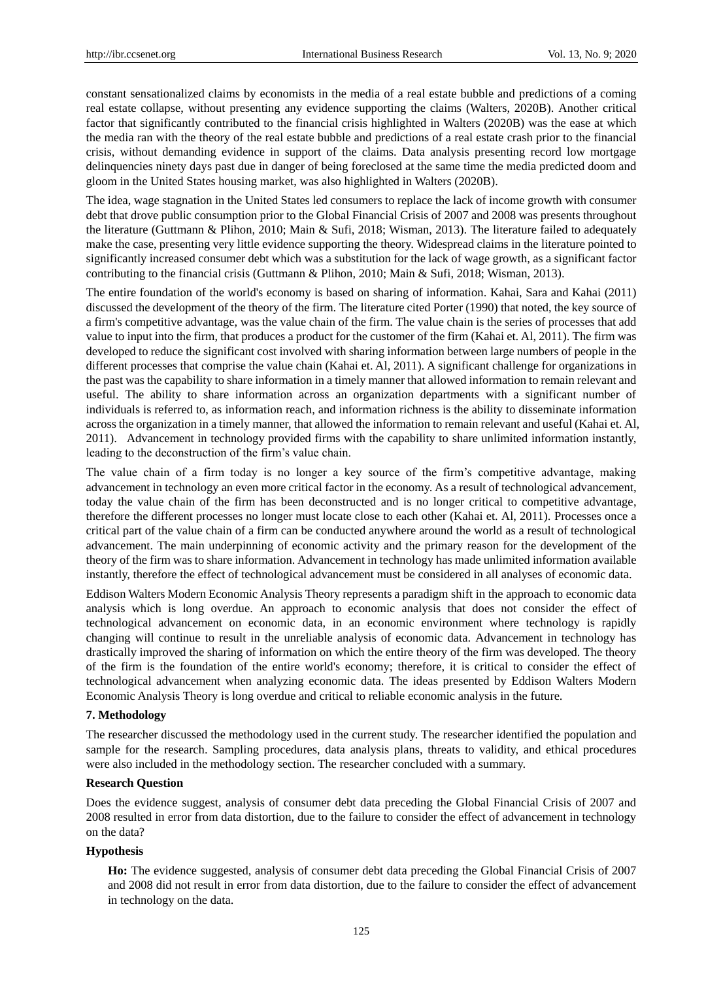constant sensationalized claims by economists in the media of a real estate bubble and predictions of a coming real estate collapse, without presenting any evidence supporting the claims (Walters, 2020B). Another critical factor that significantly contributed to the financial crisis highlighted in Walters (2020B) was the ease at which the media ran with the theory of the real estate bubble and predictions of a real estate crash prior to the financial crisis, without demanding evidence in support of the claims. Data analysis presenting record low mortgage delinquencies ninety days past due in danger of being foreclosed at the same time the media predicted doom and gloom in the United States housing market, was also highlighted in Walters (2020B).

The idea, wage stagnation in the United States led consumers to replace the lack of income growth with consumer debt that drove public consumption prior to the Global Financial Crisis of 2007 and 2008 was presents throughout the literature (Guttmann & Plihon, 2010; Main & Sufi, 2018; Wisman, 2013). The literature failed to adequately make the case, presenting very little evidence supporting the theory. Widespread claims in the literature pointed to significantly increased consumer debt which was a substitution for the lack of wage growth, as a significant factor contributing to the financial crisis (Guttmann & Plihon, 2010; Main & Sufi, 2018; Wisman, 2013).

The entire foundation of the world's economy is based on sharing of information. Kahai, Sara and Kahai (2011) discussed the development of the theory of the firm. The literature cited Porter (1990) that noted, the key source of a firm's competitive advantage, was the value chain of the firm. The value chain is the series of processes that add value to input into the firm, that produces a product for the customer of the firm (Kahai et. Al, 2011). The firm was developed to reduce the significant cost involved with sharing information between large numbers of people in the different processes that comprise the value chain (Kahai et. Al, 2011). A significant challenge for organizations in the past was the capability to share information in a timely manner that allowed information to remain relevant and useful. The ability to share information across an organization departments with a significant number of individuals is referred to, as information reach, and information richness is the ability to disseminate information across the organization in a timely manner, that allowed the information to remain relevant and useful (Kahai et. Al, 2011). Advancement in technology provided firms with the capability to share unlimited information instantly, leading to the deconstruction of the firm's value chain.

The value chain of a firm today is no longer a key source of the firm's competitive advantage, making advancement in technology an even more critical factor in the economy. As a result of technological advancement, today the value chain of the firm has been deconstructed and is no longer critical to competitive advantage, therefore the different processes no longer must locate close to each other (Kahai et. Al, 2011). Processes once a critical part of the value chain of a firm can be conducted anywhere around the world as a result of technological advancement. The main underpinning of economic activity and the primary reason for the development of the theory of the firm was to share information. Advancement in technology has made unlimited information available instantly, therefore the effect of technological advancement must be considered in all analyses of economic data.

Eddison Walters Modern Economic Analysis Theory represents a paradigm shift in the approach to economic data analysis which is long overdue. An approach to economic analysis that does not consider the effect of technological advancement on economic data, in an economic environment where technology is rapidly changing will continue to result in the unreliable analysis of economic data. Advancement in technology has drastically improved the sharing of information on which the entire theory of the firm was developed. The theory of the firm is the foundation of the entire world's economy; therefore, it is critical to consider the effect of technological advancement when analyzing economic data. The ideas presented by Eddison Walters Modern Economic Analysis Theory is long overdue and critical to reliable economic analysis in the future.

## **7. Methodology**

The researcher discussed the methodology used in the current study. The researcher identified the population and sample for the research. Sampling procedures, data analysis plans, threats to validity, and ethical procedures were also included in the methodology section. The researcher concluded with a summary.

## **Research Question**

Does the evidence suggest, analysis of consumer debt data preceding the Global Financial Crisis of 2007 and 2008 resulted in error from data distortion, due to the failure to consider the effect of advancement in technology on the data?

## **Hypothesis**

**Ho:** The evidence suggested, analysis of consumer debt data preceding the Global Financial Crisis of 2007 and 2008 did not result in error from data distortion, due to the failure to consider the effect of advancement in technology on the data.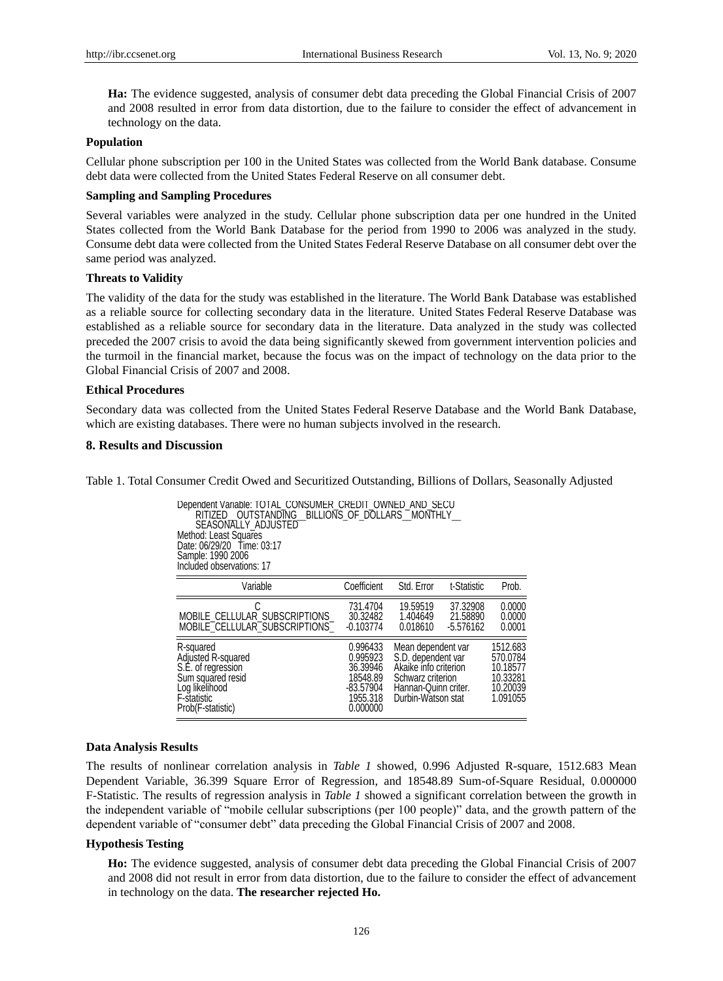**Ha:** The evidence suggested, analysis of consumer debt data preceding the Global Financial Crisis of 2007 and 2008 resulted in error from data distortion, due to the failure to consider the effect of advancement in technology on the data.

## **Population**

Cellular phone subscription per 100 in the United States was collected from the World Bank database. Consume debt data were collected from the United States Federal Reserve on all consumer debt.

#### **Sampling and Sampling Procedures**

Several variables were analyzed in the study. Cellular phone subscription data per one hundred in the United States collected from the World Bank Database for the period from 1990 to 2006 was analyzed in the study. Consume debt data were collected from the United States Federal Reserve Database on all consumer debt over the same period was analyzed.

## **Threats to Validity**

The validity of the data for the study was established in the literature. The World Bank Database was established as a reliable source for collecting secondary data in the literature. United States Federal Reserve Database was established as a reliable source for secondary data in the literature. Data analyzed in the study was collected preceded the 2007 crisis to avoid the data being significantly skewed from government intervention policies and the turmoil in the financial market, because the focus was on the impact of technology on the data prior to the Global Financial Crisis of 2007 and 2008.

## **Ethical Procedures**

Secondary data was collected from the United States Federal Reserve Database and the World Bank Database, which are existing databases. There were no human subjects involved in the research.

#### **8. Results and Discussion**

Table 1. Total Consumer Credit Owed and Securitized Outstanding, Billions of Dollars, Seasonally Adjusted

|                    | Dependent Variable: TOTAL CONSUMER CREDIT OWNED AND SECU<br>RITIZED OUTSTANDING BILLIONS OF DOLLARS MONTHLY<br>SEASONALLY ADJUSTED<br>Method: Least Squares<br>Date: 06/29/20 Time: 03:17<br>Sample: 1990 2006<br>Included observations: 17                                                                                                                                                                                                                   |                                                                                   |                                                                                                                                      |                                     |                                                                      |
|--------------------|---------------------------------------------------------------------------------------------------------------------------------------------------------------------------------------------------------------------------------------------------------------------------------------------------------------------------------------------------------------------------------------------------------------------------------------------------------------|-----------------------------------------------------------------------------------|--------------------------------------------------------------------------------------------------------------------------------------|-------------------------------------|----------------------------------------------------------------------|
|                    | Variable                                                                                                                                                                                                                                                                                                                                                                                                                                                      | Coefficient                                                                       | Std. Error                                                                                                                           | t-Statistic                         | Prob.                                                                |
|                    | MOBILE CELLULAR SUBSCRIPTIONS<br>MOBILE_CELLULAR_SUBSCRIPTIONS_                                                                                                                                                                                                                                                                                                                                                                                               | 731.4704<br>30.32482<br>$-0.103774$                                               | 19,59519<br>1.404649<br>0.018610                                                                                                     | 37.32908<br>21.58890<br>$-5.576162$ | 0.0000<br>0.0000<br>0.0001                                           |
|                    | R-squared<br>Adjusted R-squared<br>S.E. of regression<br>Sum squared resid<br>Log likelihood<br>F-statistic<br>Prob(F-statistic)                                                                                                                                                                                                                                                                                                                              | 0.996433<br>0.995923<br>36.39946<br>18548.89<br>-83.57904<br>1955.318<br>0.000000 | Mean dependent var<br>S.D. dependent var<br>Akaike info criterion<br>Schwarz criterion<br>Hannan-Quinn criter.<br>Durbin-Watson stat |                                     | 1512.683<br>570.0784<br>10.18577<br>10.33281<br>10.20039<br>1.091055 |
| a Analysis Results | results of nonlinear correlation analysis in <i>Table 1</i> showed, 0.996 Adjusted R-sq<br>endent Variable, 36.399 Square Error of Regression, and 18548.89 Sum-of-Square<br>atistic. The results of regression analysis in <i>Table 1</i> showed a significant correlation<br>ndependent variable of "mobile cellular subscriptions (per 100 people)" data, and the<br>indent variable of "consumer debt" data preceding the Global Financial Crisis of 2007 |                                                                                   |                                                                                                                                      |                                     |                                                                      |
| othesis Testing    |                                                                                                                                                                                                                                                                                                                                                                                                                                                               |                                                                                   |                                                                                                                                      |                                     |                                                                      |
|                    | Ho: The evidence suggested, analysis of consumer debt data preceding the Global Fi<br>and 2008 did not result in error from data distortion, due to the failure to consider the<br>in technology on the data. The researcher rejected Ho.                                                                                                                                                                                                                     |                                                                                   |                                                                                                                                      |                                     |                                                                      |

#### **Data Analysis Results**

The results of nonlinear correlation analysis in *Table 1* showed, 0.996 Adjusted R-square, 1512.683 Mean Dependent Variable, 36.399 Square Error of Regression, and 18548.89 Sum-of-Square Residual, 0.000000 F-Statistic. The results of regression analysis in *Table 1* showed a significant correlation between the growth in the independent variable of "mobile cellular subscriptions (per 100 people)" data, and the growth pattern of the dependent variable of "consumer debt" data preceding the Global Financial Crisis of 2007 and 2008.

## **Hypothesis Testing**

**Ho:** The evidence suggested, analysis of consumer debt data preceding the Global Financial Crisis of 2007 and 2008 did not result in error from data distortion, due to the failure to consider the effect of advancement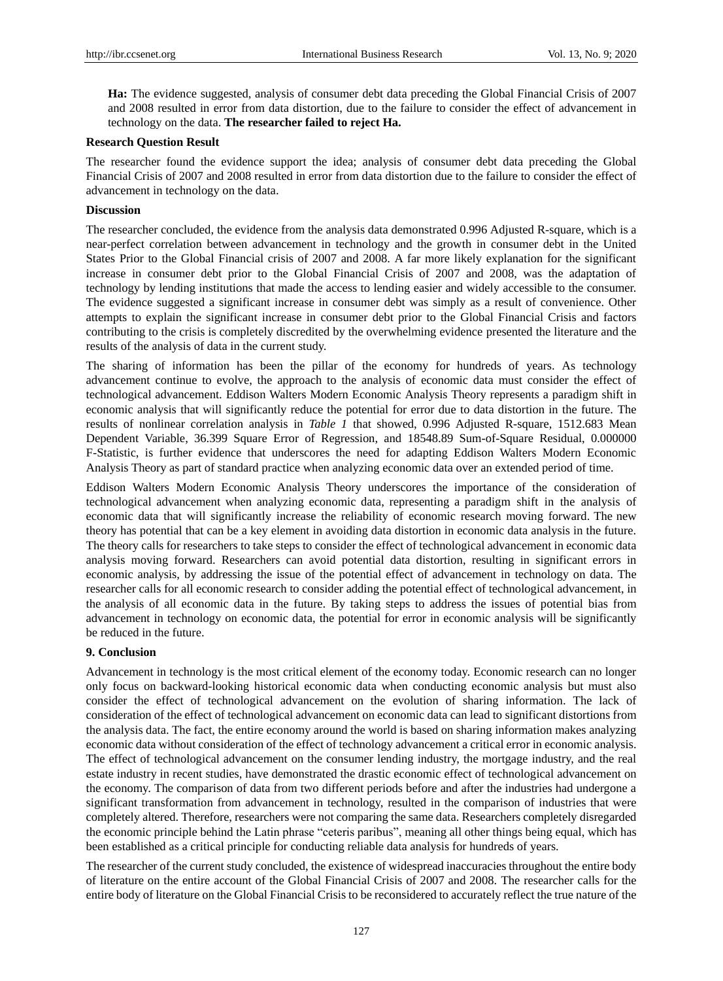**Ha:** The evidence suggested, analysis of consumer debt data preceding the Global Financial Crisis of 2007 and 2008 resulted in error from data distortion, due to the failure to consider the effect of advancement in technology on the data. **The researcher failed to reject Ha.**

# **Research Question Result**

The researcher found the evidence support the idea; analysis of consumer debt data preceding the Global Financial Crisis of 2007 and 2008 resulted in error from data distortion due to the failure to consider the effect of advancement in technology on the data.

# **Discussion**

The researcher concluded, the evidence from the analysis data demonstrated 0.996 Adjusted R-square, which is a near-perfect correlation between advancement in technology and the growth in consumer debt in the United States Prior to the Global Financial crisis of 2007 and 2008. A far more likely explanation for the significant increase in consumer debt prior to the Global Financial Crisis of 2007 and 2008, was the adaptation of technology by lending institutions that made the access to lending easier and widely accessible to the consumer. The evidence suggested a significant increase in consumer debt was simply as a result of convenience. Other attempts to explain the significant increase in consumer debt prior to the Global Financial Crisis and factors contributing to the crisis is completely discredited by the overwhelming evidence presented the literature and the results of the analysis of data in the current study.

The sharing of information has been the pillar of the economy for hundreds of years. As technology advancement continue to evolve, the approach to the analysis of economic data must consider the effect of technological advancement. Eddison Walters Modern Economic Analysis Theory represents a paradigm shift in economic analysis that will significantly reduce the potential for error due to data distortion in the future. The results of nonlinear correlation analysis in *Table 1* that showed, 0.996 Adjusted R-square, 1512.683 Mean Dependent Variable, 36.399 Square Error of Regression, and 18548.89 Sum-of-Square Residual, 0.000000 F-Statistic, is further evidence that underscores the need for adapting Eddison Walters Modern Economic Analysis Theory as part of standard practice when analyzing economic data over an extended period of time.

Eddison Walters Modern Economic Analysis Theory underscores the importance of the consideration of technological advancement when analyzing economic data, representing a paradigm shift in the analysis of economic data that will significantly increase the reliability of economic research moving forward. The new theory has potential that can be a key element in avoiding data distortion in economic data analysis in the future. The theory calls for researchers to take steps to consider the effect of technological advancement in economic data analysis moving forward. Researchers can avoid potential data distortion, resulting in significant errors in economic analysis, by addressing the issue of the potential effect of advancement in technology on data. The researcher calls for all economic research to consider adding the potential effect of technological advancement, in the analysis of all economic data in the future. By taking steps to address the issues of potential bias from advancement in technology on economic data, the potential for error in economic analysis will be significantly be reduced in the future.

# **9. Conclusion**

Advancement in technology is the most critical element of the economy today. Economic research can no longer only focus on backward-looking historical economic data when conducting economic analysis but must also consider the effect of technological advancement on the evolution of sharing information. The lack of consideration of the effect of technological advancement on economic data can lead to significant distortions from the analysis data. The fact, the entire economy around the world is based on sharing information makes analyzing economic data without consideration of the effect of technology advancement a critical error in economic analysis. The effect of technological advancement on the consumer lending industry, the mortgage industry, and the real estate industry in recent studies, have demonstrated the drastic economic effect of technological advancement on the economy. The comparison of data from two different periods before and after the industries had undergone a significant transformation from advancement in technology, resulted in the comparison of industries that were completely altered. Therefore, researchers were not comparing the same data. Researchers completely disregarded the economic principle behind the Latin phrase "ceteris paribus", meaning all other things being equal, which has been established as a critical principle for conducting reliable data analysis for hundreds of years.

The researcher of the current study concluded, the existence of widespread inaccuracies throughout the entire body of literature on the entire account of the Global Financial Crisis of 2007 and 2008. The researcher calls for the entire body of literature on the Global Financial Crisis to be reconsidered to accurately reflect the true nature of the